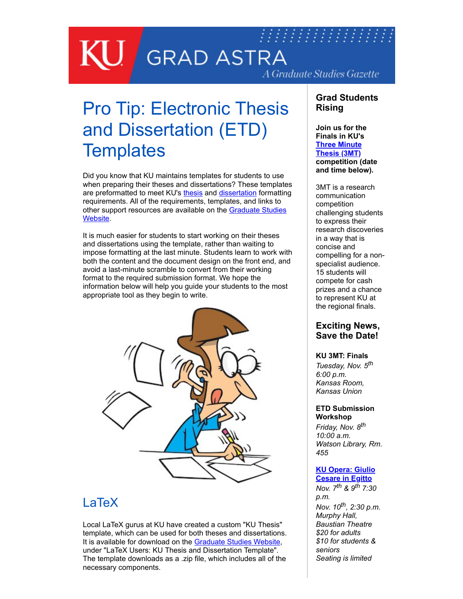## 77777777777777777 **GRAD ASTRA** A Graduate Studies Gazette

# Pro Tip: Electronic Thesis and Dissertation (ETD) **Templates**

Did you know that KU maintains templates for students to use when preparing their theses and dissertations? These templates are preformatted to meet KU's [thesis](https://graduate.ku.edu/sites/graduate.ku.edu/files/docs/etd/20160719-ETDFormattingInstructions-Thesis.pdf) and [dissertation](https://graduate.ku.edu/sites/graduate.ku.edu/files/docs/etd/20160719-ETDFormattingInstructions-Dissertation.pdf) formatting requirements. All of the requirements, templates, and links to [other support resources are available on the Graduate Studies](https://graduate.ku.edu/etd-formatting-and-working-multimedia-files) Website.

It is much easier for students to start working on their theses and dissertations using the template, rather than waiting to impose formatting at the last minute. Students learn to work with both the content and the document design on the front end, and avoid a last-minute scramble to convert from their working format to the required submission format. We hope the information below will help you guide your students to the most appropriate tool as they begin to write.



## LaTeX

Local LaTeX gurus at KU have created a custom "KU Thesis" template, which can be used for both theses and dissertations. It is available for download on the [Graduate Studies Website,](https://graduate.ku.edu/etd-formatting-and-working-multimedia-files) under "LaTeX Users: KU Thesis and Dissertation Template". The template downloads as a .zip file, which includes all of the necessary components.

### **Grad Students Rising**

#### **Join us for the Finals in KU's [Three Minute](https://graduate.ku.edu/3mt-competition) Thesis (3MT) competition (date and time below).**

3MT is a research communication competition challenging students to express their research discoveries in a way that is concise and compelling for a nonspecialist audience. 15 students will compete for cash prizes and a chance to represent KU at the regional finals.

### **Exciting News, Save the Date!**

#### **KU 3MT: Finals**

*Tuesday, Nov. 5th 6:00 p.m. Kansas Room, Kansas Union* 

#### **ETD Submission Workshop**

*Friday, Nov. 8th 10:00 a.m. Watson Library, Rm. 455* 

#### **[KU Opera: Giulio](https://www.facebook.com/events/719817918521400) Cesare in Egitto**

*Nov. 7th & 9th 7:30 p.m. Nov. 10th , 2:30 p.m. Murphy Hall, Baustian Theatre \$20 for adults \$10 for students & seniors Seating is limited*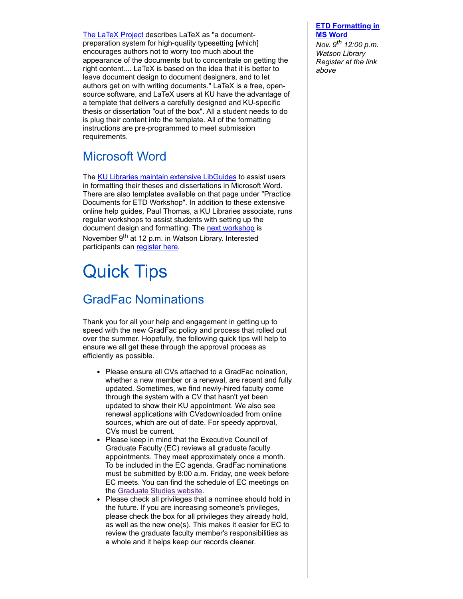[The LaTeX Project](https://www.latex-project.org/about/) describes LaTeX as "a documentpreparation system for high-quality typesetting [which] encourages authors not to worry too much about the appearance of the documents but to concentrate on getting the right content.... LaTeX is based on the idea that it is better to leave document design to document designers, and to let authors get on with writing documents." LaTeX is a free, opensource software, and LaTeX users at KU have the advantage of a template that delivers a carefully designed and KU-specific thesis or dissertation "out of the box". All a student needs to do is plug their content into the template. All of the formatting instructions are pre-programmed to meet submission requirements.

## Microsoft Word

The [KU Libraries maintain extensive LibGuides](https://guides.lib.ku.edu/etdZ) to assist users in formatting their theses and dissertations in Microsoft Word. There are also templates available on that page under "Practice Documents for ETD Workshop". In addition to these extensive online help guides, Paul Thomas, a KU Libraries associate, runs regular workshops to assist students with setting up the document design and formatting. The [next workshop](http://writing.ku.edu/write-in) is November 9<sup>th</sup> at 12 p.m. in Watson Library. Interested participants can [register here](http://writing.ku.edu/lawrence-write-in).

# Quick Tips

## GradFac Nominations

Thank you for all your help and engagement in getting up to speed with the new GradFac policy and process that rolled out over the summer. Hopefully, the following quick tips will help to ensure we all get these through the approval process as efficiently as possible.

- Please ensure all CVs attached to a GradFac noination, whether a new member or a renewal, are recent and fully updated. Sometimes, we find newly-hired faculty come through the system with a CV that hasn't yet been updated to show their KU appointment. We also see renewal applications with CVsdownloaded from online sources, which are out of date. For speedy approval, CVs must be current.
- Please keep in mind that the Executive Council of Graduate Faculty (EC) reviews all graduate faculty appointments. They meet approximately once a month. To be included in the EC agenda, GradFac nominations must be submitted by 8:00 a.m. Friday, one week before EC meets. You can find the schedule of EC meetings on the [Graduate Studies website.](https://graduate.ku.edu/executive-council-graduate-faculty)
- Please check all privileges that a nominee should hold in the future. If you are increasing someone's privileges, please check the box for all privileges they already hold, as well as the new one(s). This makes it easier for EC to review the graduate faculty member's responsibilities as a whole and it helps keep our records cleaner.

#### **[ETD Formatting in](http://writing.ku.edu/write-in) MS Word**

*Nov. 9th 12:00 p.m. Watson Library Register at the link above*